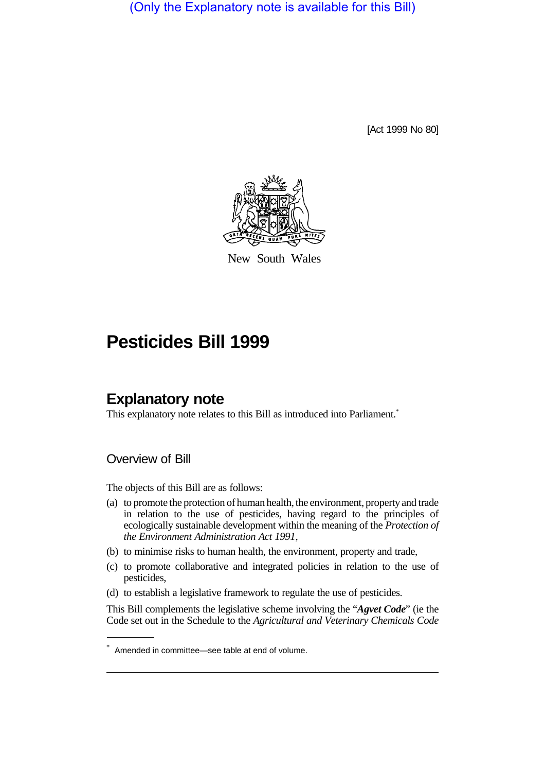(Only the Explanatory note is available for this Bill)

[Act 1999 No 80]



New South Wales

# **Pesticides Bill 1999**

## **Explanatory note**

This explanatory note relates to this Bill as introduced into Parliament.<sup>\*</sup>

Overview of Bill

The objects of this Bill are as follows:

- (a) to promote the protection of human health, the environment, property and trade in relation to the use of pesticides, having regard to the principles of ecologically sustainable development within the meaning of the *Protection of the Environment Administration Act 1991*,
- (b) to minimise risks to human health, the environment, property and trade,
- (c) to promote collaborative and integrated policies in relation to the use of pesticides,
- (d) to establish a legislative framework to regulate the use of pesticides.

This Bill complements the legislative scheme involving the "*Agvet Code*" (ie the Code set out in the Schedule to the *Agricultural and Veterinary Chemicals Code*

<sup>\*</sup> Amended in committee—see table at end of volume.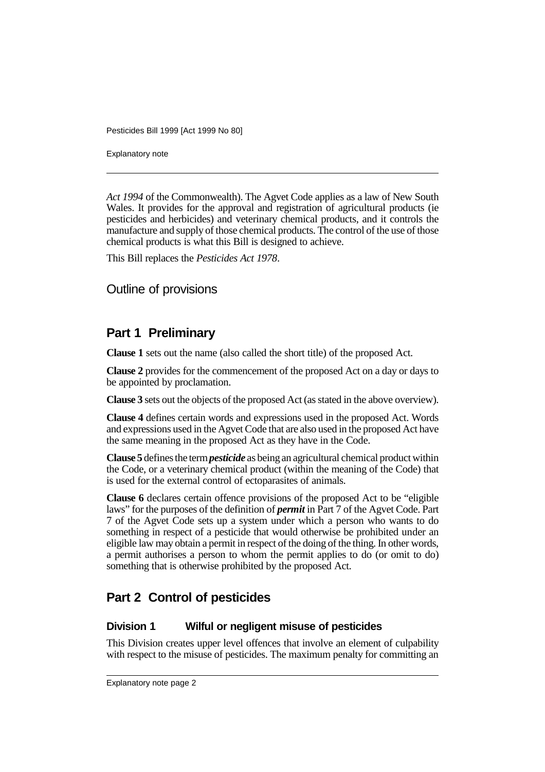Explanatory note

*Act 1994* of the Commonwealth). The Agvet Code applies as a law of New South Wales. It provides for the approval and registration of agricultural products (ie pesticides and herbicides) and veterinary chemical products, and it controls the manufacture and supply of those chemical products. The control of the use of those chemical products is what this Bill is designed to achieve.

This Bill replaces the *Pesticides Act 1978*.

### Outline of provisions

## **Part 1 Preliminary**

**Clause 1** sets out the name (also called the short title) of the proposed Act.

**Clause 2** provides for the commencement of the proposed Act on a day or days to be appointed by proclamation.

**Clause 3** sets out the objects of the proposed Act (as stated in the above overview).

**Clause 4** defines certain words and expressions used in the proposed Act. Words and expressions used in the Agvet Code that are also used in the proposed Act have the same meaning in the proposed Act as they have in the Code.

**Clause 5** defines the term *pesticide* as being an agricultural chemical product within the Code, or a veterinary chemical product (within the meaning of the Code) that is used for the external control of ectoparasites of animals.

**Clause 6** declares certain offence provisions of the proposed Act to be "eligible laws" for the purposes of the definition of *permit* in Part 7 of the Agvet Code. Part 7 of the Agvet Code sets up a system under which a person who wants to do something in respect of a pesticide that would otherwise be prohibited under an eligible law may obtain a permit in respect of the doing of the thing. In other words, a permit authorises a person to whom the permit applies to do (or omit to do) something that is otherwise prohibited by the proposed Act.

## **Part 2 Control of pesticides**

#### **Division 1 Wilful or negligent misuse of pesticides**

This Division creates upper level offences that involve an element of culpability with respect to the misuse of pesticides. The maximum penalty for committing an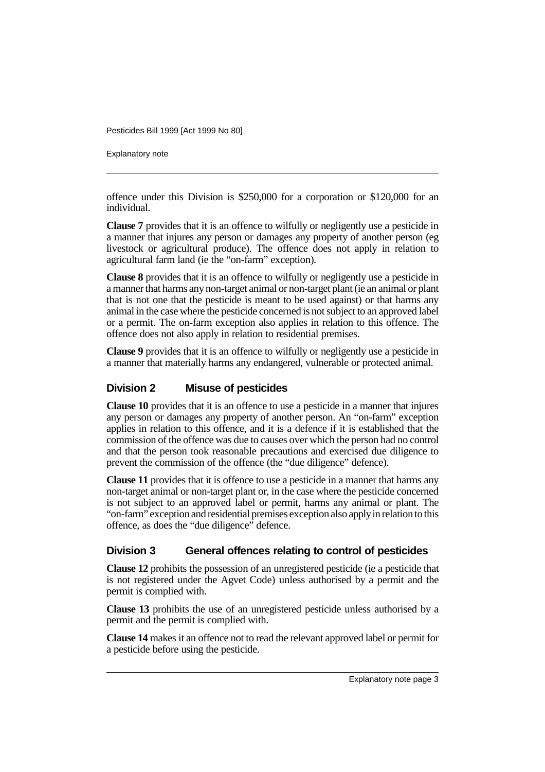Explanatory note

offence under this Division is \$250,000 for a corporation or \$120,000 for an individual.

**Clause 7** provides that it is an offence to wilfully or negligently use a pesticide in a manner that injures any person or damages any property of another person (eg livestock or agricultural produce). The offence does not apply in relation to agricultural farm land (ie the "on-farm" exception).

**Clause 8** provides that it is an offence to wilfully or negligently use a pesticide in a manner that harms any non-target animal or non-target plant (ie an animal or plant that is not one that the pesticide is meant to be used against) or that harms any animal in the case where the pesticide concerned is not subject to an approved label or a permit. The on-farm exception also applies in relation to this offence. The offence does not also apply in relation to residential premises.

**Clause 9** provides that it is an offence to wilfully or negligently use a pesticide in a manner that materially harms any endangered, vulnerable or protected animal.

### **Division 2 Misuse of pesticides**

**Clause 10** provides that it is an offence to use a pesticide in a manner that injures any person or damages any property of another person. An "on-farm" exception applies in relation to this offence, and it is a defence if it is established that the commission of the offence was due to causes over which the person had no control and that the person took reasonable precautions and exercised due diligence to prevent the commission of the offence (the "due diligence" defence).

**Clause 11** provides that it is offence to use a pesticide in a manner that harms any non-target animal or non-target plant or, in the case where the pesticide concerned is not subject to an approved label or permit, harms any animal or plant. The "on-farm" exception and residential premises exception also apply in relation to this offence, as does the "due diligence" defence.

### **Division 3 General offences relating to control of pesticides**

**Clause 12** prohibits the possession of an unregistered pesticide (ie a pesticide that is not registered under the Agvet Code) unless authorised by a permit and the permit is complied with.

**Clause 13** prohibits the use of an unregistered pesticide unless authorised by a permit and the permit is complied with.

**Clause 14** makes it an offence not to read the relevant approved label or permit for a pesticide before using the pesticide.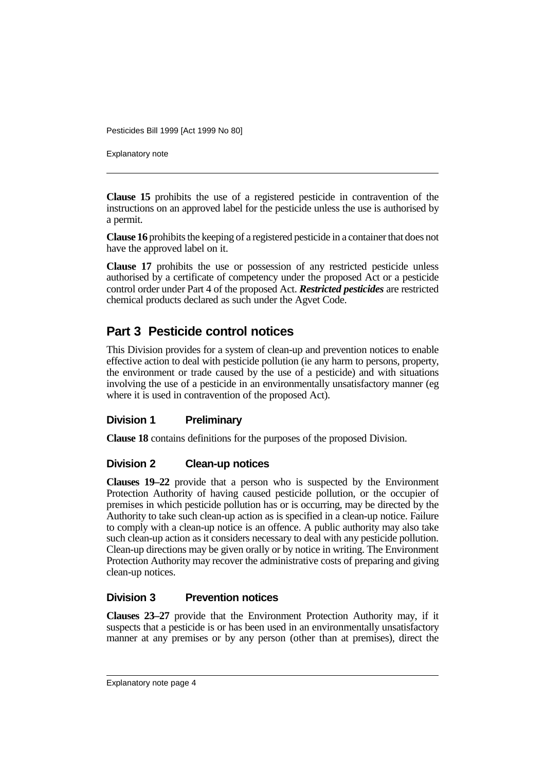Explanatory note

**Clause 15** prohibits the use of a registered pesticide in contravention of the instructions on an approved label for the pesticide unless the use is authorised by a permit.

**Clause 16** prohibits the keeping of a registered pesticide in a container that does not have the approved label on it.

**Clause 17** prohibits the use or possession of any restricted pesticide unless authorised by a certificate of competency under the proposed Act or a pesticide control order under Part 4 of the proposed Act. *Restricted pesticides* are restricted chemical products declared as such under the Agvet Code.

## **Part 3 Pesticide control notices**

This Division provides for a system of clean-up and prevention notices to enable effective action to deal with pesticide pollution (ie any harm to persons, property, the environment or trade caused by the use of a pesticide) and with situations involving the use of a pesticide in an environmentally unsatisfactory manner (eg where it is used in contravention of the proposed Act).

### **Division 1 Preliminary**

**Clause 18** contains definitions for the purposes of the proposed Division.

### **Division 2 Clean-up notices**

**Clauses 19–22** provide that a person who is suspected by the Environment Protection Authority of having caused pesticide pollution, or the occupier of premises in which pesticide pollution has or is occurring, may be directed by the Authority to take such clean-up action as is specified in a clean-up notice. Failure to comply with a clean-up notice is an offence. A public authority may also take such clean-up action as it considers necessary to deal with any pesticide pollution. Clean-up directions may be given orally or by notice in writing. The Environment Protection Authority may recover the administrative costs of preparing and giving clean-up notices.

### **Division 3 Prevention notices**

**Clauses 23–27** provide that the Environment Protection Authority may, if it suspects that a pesticide is or has been used in an environmentally unsatisfactory manner at any premises or by any person (other than at premises), direct the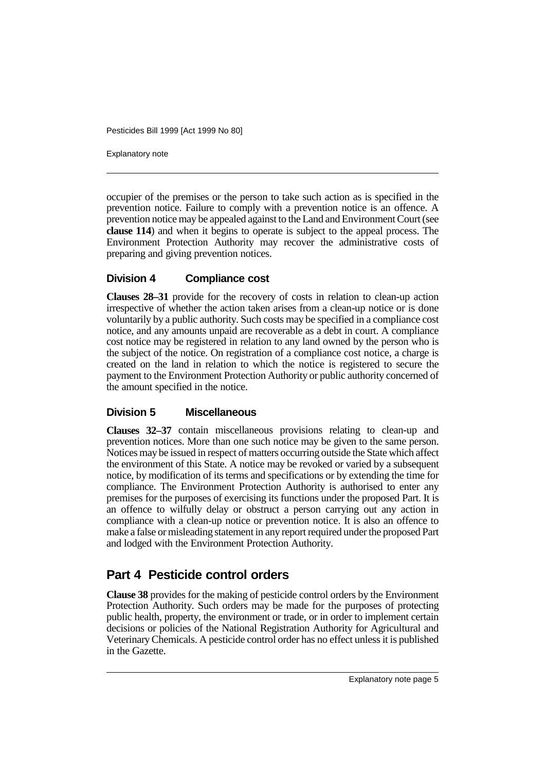Explanatory note

occupier of the premises or the person to take such action as is specified in the prevention notice. Failure to comply with a prevention notice is an offence. A prevention notice may be appealed against to the Land and Environment Court (see **clause 114**) and when it begins to operate is subject to the appeal process. The Environment Protection Authority may recover the administrative costs of preparing and giving prevention notices.

#### **Division 4 Compliance cost**

**Clauses 28–31** provide for the recovery of costs in relation to clean-up action irrespective of whether the action taken arises from a clean-up notice or is done voluntarily by a public authority. Such costs may be specified in a compliance cost notice, and any amounts unpaid are recoverable as a debt in court. A compliance cost notice may be registered in relation to any land owned by the person who is the subject of the notice. On registration of a compliance cost notice, a charge is created on the land in relation to which the notice is registered to secure the payment to the Environment Protection Authority or public authority concerned of the amount specified in the notice.

#### **Division 5 Miscellaneous**

**Clauses 32–37** contain miscellaneous provisions relating to clean-up and prevention notices. More than one such notice may be given to the same person. Notices may be issued in respect of matters occurring outside the State which affect the environment of this State. A notice may be revoked or varied by a subsequent notice, by modification of its terms and specifications or by extending the time for compliance. The Environment Protection Authority is authorised to enter any premises for the purposes of exercising its functions under the proposed Part. It is an offence to wilfully delay or obstruct a person carrying out any action in compliance with a clean-up notice or prevention notice. It is also an offence to make a false or misleading statement in any report required under the proposed Part and lodged with the Environment Protection Authority.

## **Part 4 Pesticide control orders**

**Clause 38** provides for the making of pesticide control orders by the Environment Protection Authority. Such orders may be made for the purposes of protecting public health, property, the environment or trade, or in order to implement certain decisions or policies of the National Registration Authority for Agricultural and Veterinary Chemicals. A pesticide control order has no effect unless it is published in the Gazette.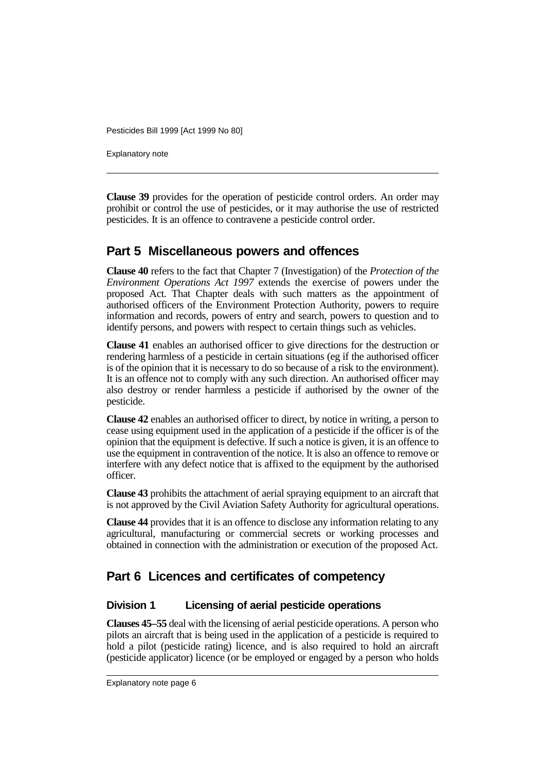Explanatory note

**Clause 39** provides for the operation of pesticide control orders. An order may prohibit or control the use of pesticides, or it may authorise the use of restricted pesticides. It is an offence to contravene a pesticide control order.

## **Part 5 Miscellaneous powers and offences**

**Clause 40** refers to the fact that Chapter 7 (Investigation) of the *Protection of the Environment Operations Act 1997* extends the exercise of powers under the proposed Act. That Chapter deals with such matters as the appointment of authorised officers of the Environment Protection Authority, powers to require information and records, powers of entry and search, powers to question and to identify persons, and powers with respect to certain things such as vehicles.

**Clause 41** enables an authorised officer to give directions for the destruction or rendering harmless of a pesticide in certain situations (eg if the authorised officer is of the opinion that it is necessary to do so because of a risk to the environment). It is an offence not to comply with any such direction. An authorised officer may also destroy or render harmless a pesticide if authorised by the owner of the pesticide.

**Clause 42** enables an authorised officer to direct, by notice in writing, a person to cease using equipment used in the application of a pesticide if the officer is of the opinion that the equipment is defective. If such a notice is given, it is an offence to use the equipment in contravention of the notice. It is also an offence to remove or interfere with any defect notice that is affixed to the equipment by the authorised officer.

**Clause 43** prohibits the attachment of aerial spraying equipment to an aircraft that is not approved by the Civil Aviation Safety Authority for agricultural operations.

**Clause 44** provides that it is an offence to disclose any information relating to any agricultural, manufacturing or commercial secrets or working processes and obtained in connection with the administration or execution of the proposed Act.

## **Part 6 Licences and certificates of competency**

### **Division 1 Licensing of aerial pesticide operations**

**Clauses 45–55** deal with the licensing of aerial pesticide operations. A person who pilots an aircraft that is being used in the application of a pesticide is required to hold a pilot (pesticide rating) licence, and is also required to hold an aircraft (pesticide applicator) licence (or be employed or engaged by a person who holds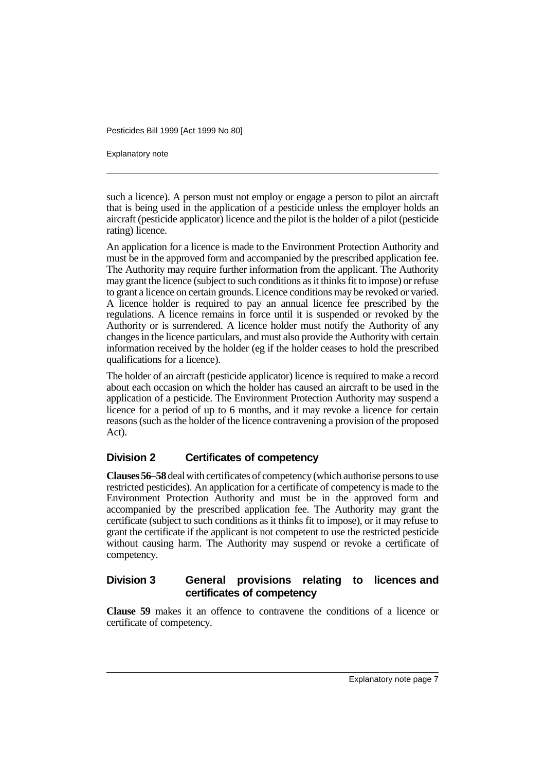Explanatory note

such a licence). A person must not employ or engage a person to pilot an aircraft that is being used in the application of a pesticide unless the employer holds an aircraft (pesticide applicator) licence and the pilot is the holder of a pilot (pesticide rating) licence.

An application for a licence is made to the Environment Protection Authority and must be in the approved form and accompanied by the prescribed application fee. The Authority may require further information from the applicant. The Authority may grant the licence (subject to such conditions as it thinks fit to impose) or refuse to grant a licence on certain grounds. Licence conditions may be revoked or varied. A licence holder is required to pay an annual licence fee prescribed by the regulations. A licence remains in force until it is suspended or revoked by the Authority or is surrendered. A licence holder must notify the Authority of any changes in the licence particulars, and must also provide the Authority with certain information received by the holder (eg if the holder ceases to hold the prescribed qualifications for a licence).

The holder of an aircraft (pesticide applicator) licence is required to make a record about each occasion on which the holder has caused an aircraft to be used in the application of a pesticide. The Environment Protection Authority may suspend a licence for a period of up to 6 months, and it may revoke a licence for certain reasons (such as the holder of the licence contravening a provision of the proposed Act).

#### **Division 2 Certificates of competency**

**Clauses 56–58** deal with certificates of competency (which authorise persons to use restricted pesticides). An application for a certificate of competency is made to the Environment Protection Authority and must be in the approved form and accompanied by the prescribed application fee. The Authority may grant the certificate (subject to such conditions as it thinks fit to impose), or it may refuse to grant the certificate if the applicant is not competent to use the restricted pesticide without causing harm. The Authority may suspend or revoke a certificate of competency.

### **Division 3 General provisions relating to licences and certificates of competency**

**Clause 59** makes it an offence to contravene the conditions of a licence or certificate of competency.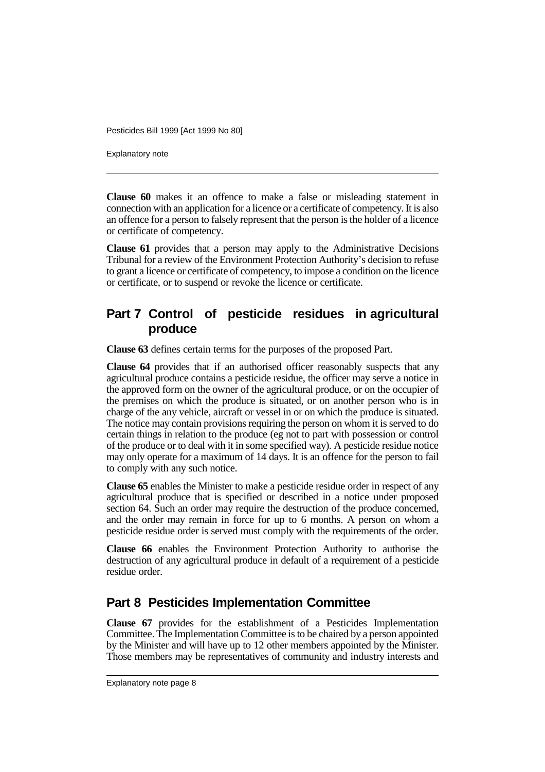Explanatory note

**Clause 60** makes it an offence to make a false or misleading statement in connection with an application for a licence or a certificate of competency. It is also an offence for a person to falsely represent that the person is the holder of a licence or certificate of competency.

**Clause 61** provides that a person may apply to the Administrative Decisions Tribunal for a review of the Environment Protection Authority's decision to refuse to grant a licence or certificate of competency, to impose a condition on the licence or certificate, or to suspend or revoke the licence or certificate.

## **Part 7 Control of pesticide residues in agricultural produce**

**Clause 63** defines certain terms for the purposes of the proposed Part.

**Clause 64** provides that if an authorised officer reasonably suspects that any agricultural produce contains a pesticide residue, the officer may serve a notice in the approved form on the owner of the agricultural produce, or on the occupier of the premises on which the produce is situated, or on another person who is in charge of the any vehicle, aircraft or vessel in or on which the produce is situated. The notice may contain provisions requiring the person on whom it is served to do certain things in relation to the produce (eg not to part with possession or control of the produce or to deal with it in some specified way). A pesticide residue notice may only operate for a maximum of 14 days. It is an offence for the person to fail to comply with any such notice.

**Clause 65** enables the Minister to make a pesticide residue order in respect of any agricultural produce that is specified or described in a notice under proposed section 64. Such an order may require the destruction of the produce concerned, and the order may remain in force for up to 6 months. A person on whom a pesticide residue order is served must comply with the requirements of the order.

**Clause 66** enables the Environment Protection Authority to authorise the destruction of any agricultural produce in default of a requirement of a pesticide residue order.

## **Part 8 Pesticides Implementation Committee**

**Clause 67** provides for the establishment of a Pesticides Implementation Committee. The Implementation Committee is to be chaired by a person appointed by the Minister and will have up to 12 other members appointed by the Minister. Those members may be representatives of community and industry interests and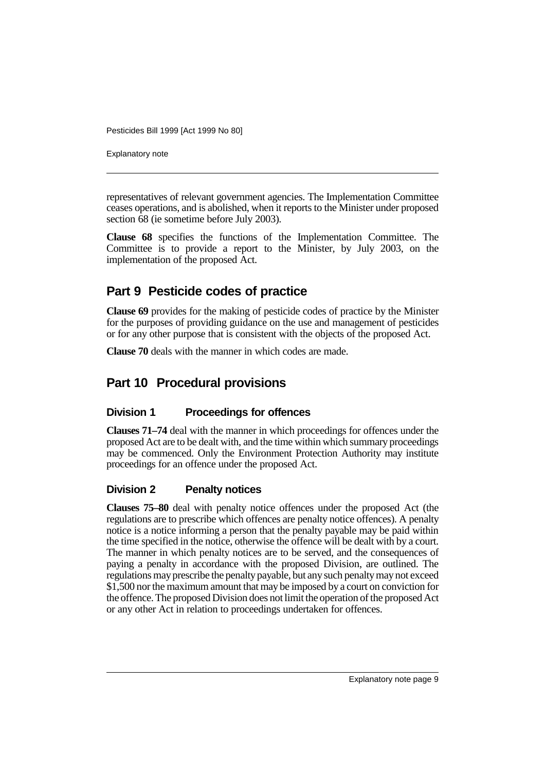Explanatory note

representatives of relevant government agencies. The Implementation Committee ceases operations, and is abolished, when it reports to the Minister under proposed section 68 (ie sometime before July 2003).

**Clause 68** specifies the functions of the Implementation Committee. The Committee is to provide a report to the Minister, by July 2003, on the implementation of the proposed Act.

## **Part 9 Pesticide codes of practice**

**Clause 69** provides for the making of pesticide codes of practice by the Minister for the purposes of providing guidance on the use and management of pesticides or for any other purpose that is consistent with the objects of the proposed Act.

**Clause 70** deals with the manner in which codes are made.

## **Part 10 Procedural provisions**

### **Division 1 Proceedings for offences**

**Clauses 71–74** deal with the manner in which proceedings for offences under the proposed Act are to be dealt with, and the time within which summary proceedings may be commenced. Only the Environment Protection Authority may institute proceedings for an offence under the proposed Act.

### **Division 2 Penalty notices**

**Clauses 75–80** deal with penalty notice offences under the proposed Act (the regulations are to prescribe which offences are penalty notice offences). A penalty notice is a notice informing a person that the penalty payable may be paid within the time specified in the notice, otherwise the offence will be dealt with by a court. The manner in which penalty notices are to be served, and the consequences of paying a penalty in accordance with the proposed Division, are outlined. The regulations may prescribe the penalty payable, but any such penalty may not exceed \$1,500 nor the maximum amount that may be imposed by a court on conviction for the offence. The proposed Division does not limit the operation of the proposed Act or any other Act in relation to proceedings undertaken for offences.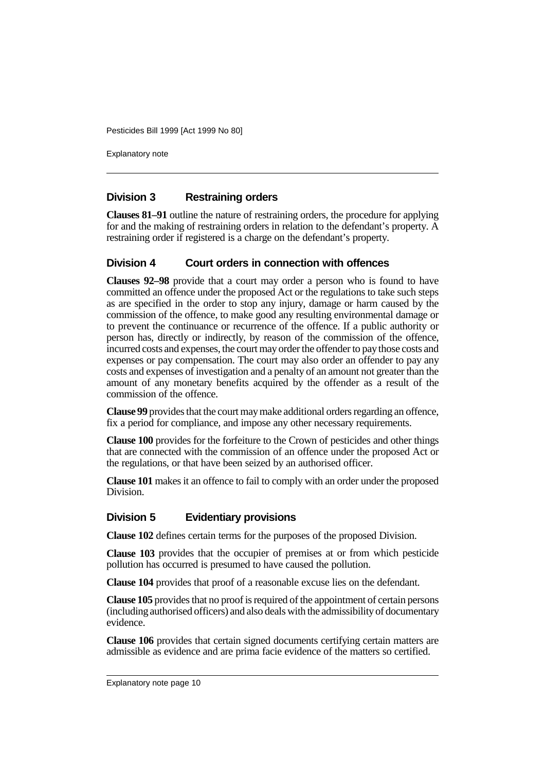Explanatory note

#### **Division 3 Restraining orders**

**Clauses 81–91** outline the nature of restraining orders, the procedure for applying for and the making of restraining orders in relation to the defendant's property. A restraining order if registered is a charge on the defendant's property.

#### **Division 4 Court orders in connection with offences**

**Clauses 92–98** provide that a court may order a person who is found to have committed an offence under the proposed Act or the regulations to take such steps as are specified in the order to stop any injury, damage or harm caused by the commission of the offence, to make good any resulting environmental damage or to prevent the continuance or recurrence of the offence. If a public authority or person has, directly or indirectly, by reason of the commission of the offence, incurred costs and expenses, the court may order the offender to pay those costs and expenses or pay compensation. The court may also order an offender to pay any costs and expenses of investigation and a penalty of an amount not greater than the amount of any monetary benefits acquired by the offender as a result of the commission of the offence.

**Clause 99** provides that the court may make additional orders regarding an offence, fix a period for compliance, and impose any other necessary requirements.

**Clause 100** provides for the forfeiture to the Crown of pesticides and other things that are connected with the commission of an offence under the proposed Act or the regulations, or that have been seized by an authorised officer.

**Clause 101** makes it an offence to fail to comply with an order under the proposed Division.

#### **Division 5 Evidentiary provisions**

**Clause 102** defines certain terms for the purposes of the proposed Division.

**Clause 103** provides that the occupier of premises at or from which pesticide pollution has occurred is presumed to have caused the pollution.

**Clause 104** provides that proof of a reasonable excuse lies on the defendant.

**Clause 105** provides that no proof is required of the appointment of certain persons (including authorised officers) and also deals with the admissibility of documentary evidence.

**Clause 106** provides that certain signed documents certifying certain matters are admissible as evidence and are prima facie evidence of the matters so certified.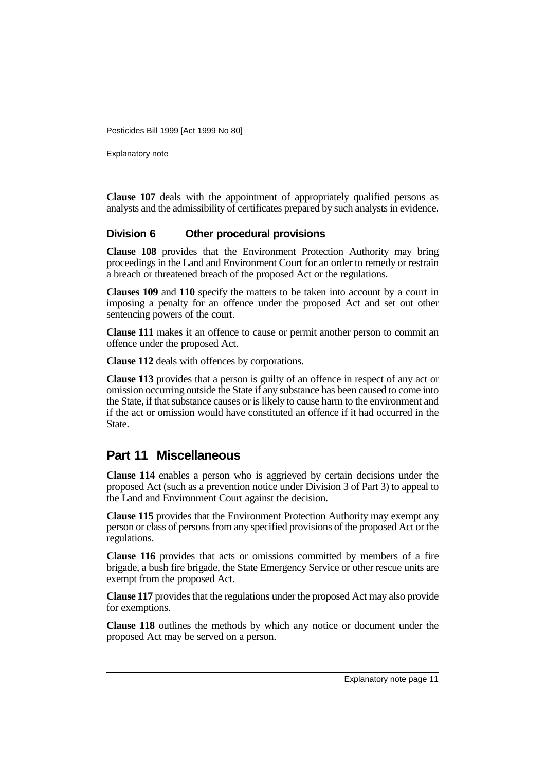Explanatory note

**Clause 107** deals with the appointment of appropriately qualified persons as analysts and the admissibility of certificates prepared by such analysts in evidence.

#### **Division 6 Other procedural provisions**

**Clause 108** provides that the Environment Protection Authority may bring proceedings in the Land and Environment Court for an order to remedy or restrain a breach or threatened breach of the proposed Act or the regulations.

**Clauses 109** and **110** specify the matters to be taken into account by a court in imposing a penalty for an offence under the proposed Act and set out other sentencing powers of the court.

**Clause 111** makes it an offence to cause or permit another person to commit an offence under the proposed Act.

**Clause 112** deals with offences by corporations.

**Clause 113** provides that a person is guilty of an offence in respect of any act or omission occurring outside the State if any substance has been caused to come into the State, if that substance causes or is likely to cause harm to the environment and if the act or omission would have constituted an offence if it had occurred in the State.

### **Part 11 Miscellaneous**

**Clause 114** enables a person who is aggrieved by certain decisions under the proposed Act (such as a prevention notice under Division 3 of Part 3) to appeal to the Land and Environment Court against the decision.

**Clause 115** provides that the Environment Protection Authority may exempt any person or class of persons from any specified provisions of the proposed Act or the regulations.

**Clause 116** provides that acts or omissions committed by members of a fire brigade, a bush fire brigade, the State Emergency Service or other rescue units are exempt from the proposed Act.

**Clause 117** provides that the regulations under the proposed Act may also provide for exemptions.

**Clause 118** outlines the methods by which any notice or document under the proposed Act may be served on a person.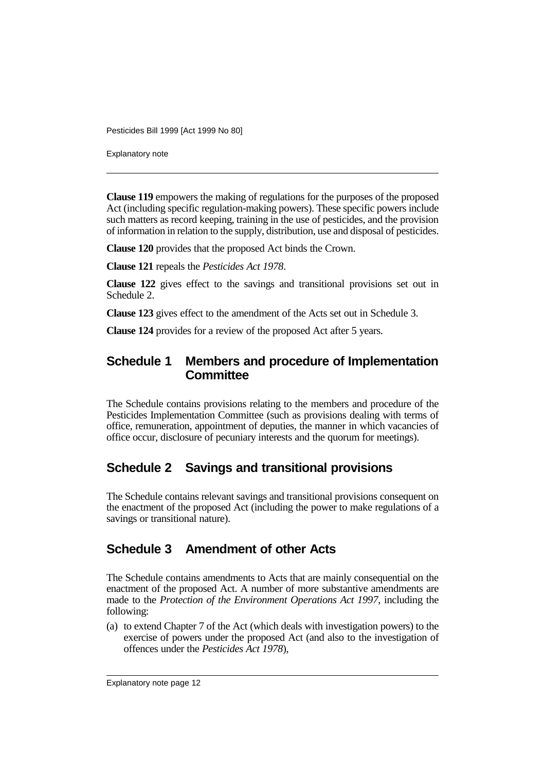Explanatory note

**Clause 119** empowers the making of regulations for the purposes of the proposed Act (including specific regulation-making powers). These specific powers include such matters as record keeping, training in the use of pesticides, and the provision of information in relation to the supply, distribution, use and disposal of pesticides.

**Clause 120** provides that the proposed Act binds the Crown.

**Clause 121** repeals the *Pesticides Act 1978*.

**Clause 122** gives effect to the savings and transitional provisions set out in Schedule 2.

**Clause 123** gives effect to the amendment of the Acts set out in Schedule 3.

**Clause 124** provides for a review of the proposed Act after 5 years.

## **Schedule 1 Members and procedure of Implementation Committee**

The Schedule contains provisions relating to the members and procedure of the Pesticides Implementation Committee (such as provisions dealing with terms of office, remuneration, appointment of deputies, the manner in which vacancies of office occur, disclosure of pecuniary interests and the quorum for meetings).

## **Schedule 2 Savings and transitional provisions**

The Schedule contains relevant savings and transitional provisions consequent on the enactment of the proposed Act (including the power to make regulations of a savings or transitional nature).

## **Schedule 3 Amendment of other Acts**

The Schedule contains amendments to Acts that are mainly consequential on the enactment of the proposed Act. A number of more substantive amendments are made to the *Protection of the Environment Operations Act 1997*, including the following:

(a) to extend Chapter 7 of the Act (which deals with investigation powers) to the exercise of powers under the proposed Act (and also to the investigation of offences under the *Pesticides Act 1978*),